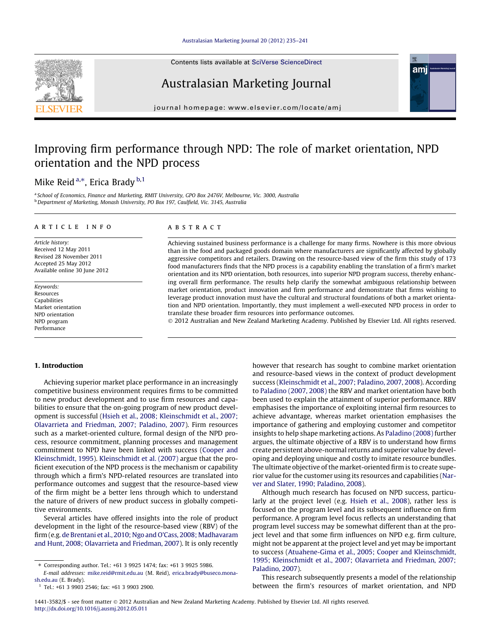

# Australasian Marketing Journal

journal homepage: [www.elsevier.com/locate/amj](http://www.elsevier.com/locate/amj)

## Improving firm performance through NPD: The role of market orientation, NPD orientation and the NPD process

## Mike Reid <sup>a,\*</sup>, Erica Brady <sup>b,1</sup>

<sup>a</sup> School of Economics, Finance and Marketing, RMIT University, GPO Box 2476V, Melbourne, Vic. 3000, Australia <sup>b</sup> Department of Marketing, Monash University, PO Box 197, Caulfield, Vic. 3145, Australia

#### article info

Article history: Received 12 May 2011 Revised 28 November 2011 Accepted 25 May 2012 Available online 30 June 2012

Keywords: Resources Capabilities Market orientation NPD orientation NPD program Performance

## 1. Introduction

Achieving superior market place performance in an increasingly competitive business environment requires firms to be committed to new product development and to use firm resources and capabilities to ensure that the on-going program of new product development is successful [\(Hsieh et al., 2008; Kleinschmidt et al., 2007;](#page--1-0) [Olavarrieta and Friedman, 2007; Paladino, 2007](#page--1-0)). Firm resources such as a market-oriented culture, formal design of the NPD process, resource commitment, planning processes and management commitment to NPD have been linked with success ([Cooper and](#page--1-0) [Kleinschmidt, 1995](#page--1-0)). [Kleinschmidt et al. \(2007\)](#page--1-0) argue that the proficient execution of the NPD process is the mechanism or capability through which a firm's NPD-related resources are translated into performance outcomes and suggest that the resource-based view of the firm might be a better lens through which to understand the nature of drivers of new product success in globally competitive environments.

Several articles have offered insights into the role of product development in the light of the resource-based view (RBV) of the firm (e.g. [de Brentani et al., 2010; Ngo and O'Cass, 2008; Madhavaram](#page--1-0) [and Hunt, 2008; Olavarrieta and Friedman, 2007](#page--1-0)). It is only recently

⇑ Corresponding author. Tel.: +61 3 9925 1474; fax: +61 3 9925 5986.

 $1$  Tel.: +61 3 9903 2546; fax: +61 3 9903 2900.

## **ABSTRACT**

Achieving sustained business performance is a challenge for many firms. Nowhere is this more obvious than in the food and packaged goods domain where manufacturers are significantly affected by globally aggressive competitors and retailers. Drawing on the resource-based view of the firm this study of 173 food manufacturers finds that the NPD process is a capability enabling the translation of a firm's market orientation and its NPD orientation, both resources, into superior NPD program success, thereby enhancing overall firm performance. The results help clarify the somewhat ambiguous relationship between market orientation, product innovation and firm performance and demonstrate that firms wishing to leverage product innovation must have the cultural and structural foundations of both a market orientation and NPD orientation. Importantly, they must implement a well-executed NPD process in order to translate these broader firm resources into performance outcomes.

© 2012 Australian and New Zealand Marketing Academy. Published by Elsevier Ltd. All rights reserved.

however that research has sought to combine market orientation and resource-based views in the context of product development success [\(Kleinschmidt et al., 2007; Paladino, 2007, 2008](#page--1-0)). According to [Paladino \(2007, 2008\)](#page--1-0) the RBV and market orientation have both been used to explain the attainment of superior performance. RBV emphasises the importance of exploiting internal firm resources to achieve advantage, whereas market orientation emphasises the importance of gathering and employing customer and competitor insights to help shape marketing actions. As [Paladino \(2008\)](#page--1-0) further argues, the ultimate objective of a RBV is to understand how firms create persistent above-normal returns and superior value by developing and deploying unique and costly to imitate resource bundles. The ultimate objective of the market-oriented firm is to create superior value for the customer using its resources and capabilities ([Nar](#page--1-0)[ver and Slater, 1990; Paladino, 2008](#page--1-0)).

Although much research has focused on NPD success, particularly at the project level (e.g. [Hsieh et al., 2008](#page--1-0)), rather less is focused on the program level and its subsequent influence on firm performance. A program level focus reflects an understanding that program level success may be somewhat different than at the project level and that some firm influences on NPD e.g. firm culture, might not be apparent at the project level and yet may be important to success [\(Atuahene-Gima et al., 2005; Cooper and Kleinschmidt,](#page--1-0) [1995; Kleinschmidt et al., 2007; Olavarrieta and Friedman, 2007;](#page--1-0) [Paladino, 2007\)](#page--1-0).

This research subsequently presents a model of the relationship between the firm's resources of market orientation, and NPD



E-mail addresses: [mike.reid@rmit.edu.au](mailto:mike.reid@rmit.edu.au) (M. Reid), [erica.brady@buseco.mona](mailto:erica.brady@buseco.monash.edu.au)[sh.edu.au](mailto:erica.brady@buseco.monash.edu.au) (E. Brady).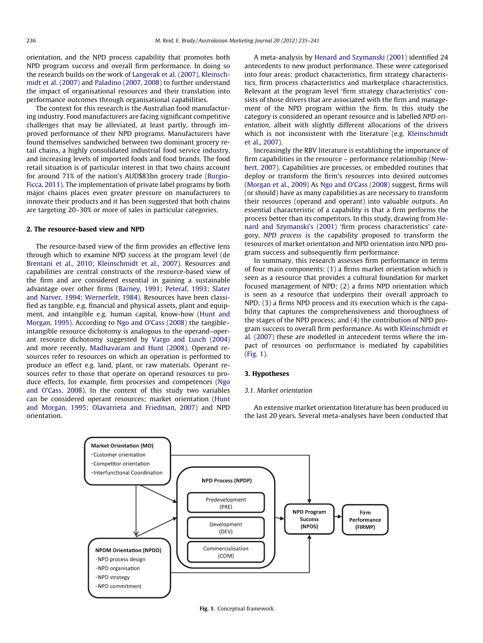orientation, and the NPD process capability that promotes both NPD program success and overall firm performance. In doing so the research builds on the work of [Langerak et al. \(2007\), Kleinsch](#page--1-0)[midt et al. \(2007\)](#page--1-0) and [Paladino \(2007, 2008\)](#page--1-0) to further understand the impact of organisational resources and their translation into performance outcomes through organisational capabilities.

The context for this research is the Australian food manufacturing industry. Food manufacturers are facing significant competitive challenges that may be alleviated, at least partly, through improved performance of their NPD programs. Manufacturers have found themselves sandwiched between two dominant grocery retail chains, a highly consolidated industrial food service industry, and increasing levels of imported foods and food brands. The food retail situation is of particular interest in that two chains account for around 71% of the nation's AUD\$83bn grocery trade ([Burgio-](#page--1-0)[Ficca, 2011](#page--1-0)). The implementation of private label programs by both major chains places even greater pressure on manufacturers to innovate their products and it has been suggested that both chains are targeting 20–30% or more of sales in particular categories.

#### 2. The resource-based view and NPD

The resource-based view of the firm provides an effective lens through which to examine NPD success at the program level ([de](#page--1-0) [Brentani et al., 2010; Kleinschmidt et al., 2007](#page--1-0)). Resources and capabilities are central constructs of the resource-based view of the firm and are considered essential in gaining a sustainable advantage over other firms [\(Barney, 1991; Peteraf, 1993; Slater](#page--1-0) [and Narver, 1994; Wernerfelt, 1984\)](#page--1-0). Resources have been classified as tangible, e.g. financial and physical assets, plant and equipment, and intangible e.g. human capital, know-how [\(Hunt and](#page--1-0) [Morgan, 1995\)](#page--1-0). According to [Ngo and O'Cass \(2008\)](#page--1-0) the tangible– intangible resource dichotomy is analogous to the operand–operant resource dichotomy suggested by [Vargo and Lusch \(2004\)](#page--1-0) and more recently, [Madhavaram and Hunt \(2008\).](#page--1-0) Operand resources refer to resources on which an operation is performed to produce an effect e.g. land, plant, or raw materials. Operant resources refer to those that operate on operand resources to produce effects, for example, firm processes and competences ([Ngo](#page--1-0) [and O'Cass, 2008](#page--1-0)). In the context of this study two variables can be considered operant resources; market orientation ([Hunt](#page--1-0) [and Morgan, 1995; Olavarrieta and Friedman, 2007\)](#page--1-0) and NPD orientation.

A meta-analysis by [Henard and Szymanski \(2001\)](#page--1-0) identified 24 antecedents to new product performance. These were categorised into four areas; product characteristics, firm strategy characteristics, firm process characteristics and marketplace characteristics. Relevant at the program level 'firm strategy characteristics' consists of those drivers that are associated with the firm and management of the NPD program within the firm. In this study the category is considered an operant resource and is labelled NPD orientation, albeit with slightly different allocations of the drivers which is not inconsistent with the literature (e.g. [Kleinschmidt](#page--1-0) [et al., 2007\)](#page--1-0).

Increasingly the RBV literature is establishing the importance of firm capabilities in the resource – performance relationship [\(New](#page--1-0)[bert, 2007\)](#page--1-0). Capabilities are processes, or embedded routines that deploy or transform the firm's resources into desired outcomes ([Morgan et al., 2009](#page--1-0)) As [Ngo and O'Cass \(2008\)](#page--1-0) suggest, firms will (or should) have as many capabilities as are necessary to transform their resources (operand and operant) into valuable outputs. An essential characteristic of a capability is that a firm performs the process better than its competitors. In this study, drawing from [He](#page--1-0)[nard and Szymanski's \(2001\)](#page--1-0) 'firm process characteristics' category, NPD process is the capability proposed to transform the resources of market orientation and NPD orientation into NPD program success and subsequently firm performance.

In summary, this research assesses firm performance in terms of four main components: (1) a firms market orientation which is seen as a resource that provides a cultural foundation for market focused management of NPD; (2) a firms NPD orientation which is seen as a resource that underpins their overall approach to NPD; (3) a firms NPD process and its execution which is the capability that captures the comprehensiveness and thoroughness of the stages of the NPD process; and (4) the contribution of NPD program success to overall firm performance. As with [Kleinschmidt et](#page--1-0) [al. \(2007\)](#page--1-0) these are modelled in antecedent terms where the impact of resources on performance is mediated by capabilities (Fig. 1).

## 3. Hypotheses

## 3.1. Market orientation

An extensive market orientation literature has been produced in the last 20 years. Several meta-analyses have been conducted that



Fig. 1. Conceptual framework.